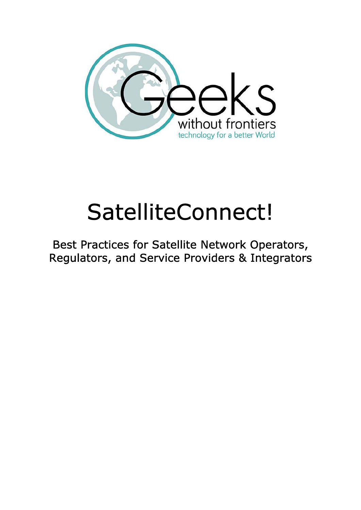

# SatelliteConnect!

Best Practices for Satellite Network Operators, Regulators, and Service Providers & Integrators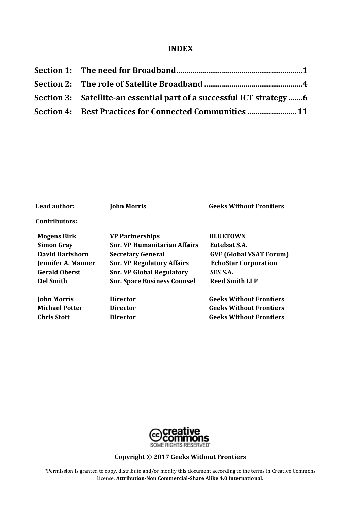#### **INDEX**

| Section 3: Satellite-an essential part of a successful ICT strategy |
|---------------------------------------------------------------------|
| <b>Section 4: Best Practices for Connected Communities  11</b>      |

| Lead author:           | <b>John Morris</b>                  | <b>Geeks Without Frontiers</b> |
|------------------------|-------------------------------------|--------------------------------|
| <b>Contributors:</b>   |                                     |                                |
| <b>Mogens Birk</b>     | <b>VP Partnerships</b>              | <b>BLUETOWN</b>                |
| <b>Simon Gray</b>      | <b>Snr. VP Humanitarian Affairs</b> | Eutelsat S.A.                  |
| <b>David Hartshorn</b> | <b>Secretary General</b>            | <b>GVF (Global VSAT Forum)</b> |
| Jennifer A. Manner     | <b>Snr. VP Regulatory Affairs</b>   | <b>EchoStar Corporation</b>    |
| <b>Gerald Oberst</b>   | <b>Snr. VP Global Regulatory</b>    | SES S.A.                       |
| <b>Del Smith</b>       | <b>Snr. Space Business Counsel</b>  | Reed Smith LLP                 |
| <b>John Morris</b>     | <b>Director</b>                     | <b>Geeks Without Frontiers</b> |
| <b>Michael Potter</b>  | <b>Director</b>                     | <b>Geeks Without Frontiers</b> |
| <b>Chris Stott</b>     | <b>Director</b>                     | <b>Geeks Without Frontiers</b> |



### **Copyright © 2017 Geeks Without Frontiers**

\*Permission is granted to copy, distribute and/or modify this document according to the terms in Creative Commons License, **Attribution-Non Commercial-Share Alike 4.0 International**.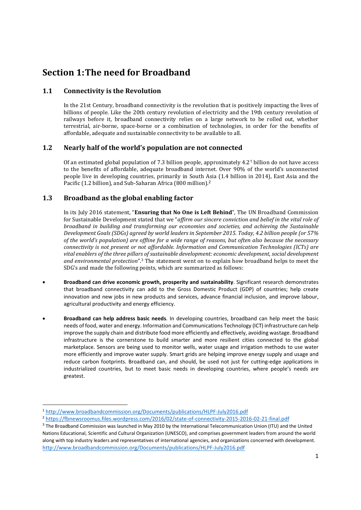### **Section 1: The need for Broadband**

#### **1.1 Connectivity is the Revolution**

In the 21st Century, broadband connectivity is the revolution that is positively impacting the lives of billions of people. Like the 20th century revolution of electricity and the 19th century revolution of railways before it, broadband connectivity relies on a large network to be rolled out, whether terrestrial, air-borne, space-borne or a combination of technologies, in order for the benefits of affordable, adequate and sustainable connectivity to be available to all.

#### **1.2 Nearly half of the world's population are not connected**

Of an estimated global population of 7.3 billion people, approximately 4.2<sup>1</sup> billion do not have access to the benefits of affordable, adequate broadband internet. Over 90% of the world's unconnected people live in developing countries, primarily in South Asia (1.4 billion in 2014), East Asia and the Pacific (1.2 billion), and Sub-Saharan Africa (800 million).<sup>2</sup>

#### **1.3 Broadband as the global enabling factor**

In its July 2016 statement, "**Ensuring that No One is Left Behind**", The UN Broadband Commission for Sustainable Development stated that we "*affirm our sincere conviction and belief in the vital role of broadband in building and transforming our economies and societies, and achieving the Sustainable Development Goals (SDGs) agreed by world leaders in September 2015. Today, 4.2 billion people (or 57% of the world's population) are offline for a wide range of reasons, but often also because the necessary connectivity is not present or not affordable. Information and Communication Technologies (ICTs) are vital enablers of the three pillars of sustainable development: economic development, social development and environmental protection*".3 The statement went on to explain how broadband helps to meet the SDG's and made the following points, which are summarized as follows:

- **Broadband can drive economic growth, prosperity and sustainability**. Significant research demonstrates that broadband connectivity can add to the Gross Domestic Product (GDP) of countries; help create innovation and new jobs in new products and services, advance financial inclusion, and improve labour, agricultural productivity and energy efficiency.
- **Broadband can help address basic needs**. In developing countries, broadband can help meet the basic needs of food, water and energy. Information and Communications Technology (ICT) infrastructure can help improve the supply chain and distribute food more efficiently and effectively, avoiding wastage. Broadband infrastructure is the cornerstone to build smarter and more resilient cities connected to the global marketplace. Sensors are being used to monitor wells, water usage and irrigation methods to use water more efficiently and improve water supply. Smart grids are helping improve energy supply and usage and reduce carbon footprints. Broadband can, and should, be used not just for cutting-edge applications in industrialized countries, but to meet basic needs in developing countries, where people's needs are greatest.

<sup>1</sup> http://www.broadbandcommission.org/Documents/publications/HLPF-July2016.pdf

<sup>2</sup> https://fbnewsroomus.files.wordpress.com/2016/02/state-of-connectivity-2015-2016-02-21-final.pdf

<sup>&</sup>lt;sup>3</sup> The Broadband Commission was launched in May 2010 by the International Telecommunication Union (ITU) and the United Nations Educational, Scientific and Cultural Organization (UNESCO), and comprises government leaders from around the world along with top industry leaders and representatives of international agencies, and organizations concerned with development. http://www.broadbandcommission.org/Documents/publications/HLPF-July2016.pdf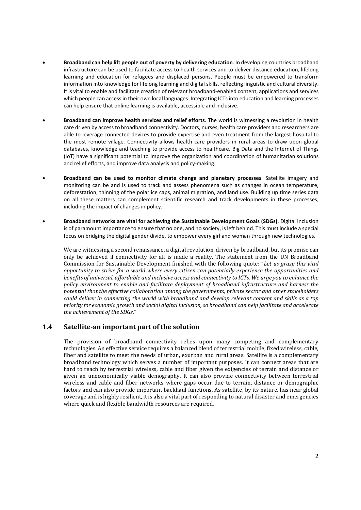- **Broadband can help lift people out of poverty by delivering education**. In developing countries broadband infrastructure can be used to facilitate access to health services and to deliver distance education, lifelong learning and education for refugees and displaced persons. People must be empowered to transform information into knowledge for lifelong learning and digital skills, reflecting linguistic and cultural diversity. It is vital to enable and facilitate creation of relevant broadband-enabled content, applications and services which people can access in their own local languages. Integrating ICTs into education and learning processes can help ensure that online learning is available, accessible and inclusive.
- **Broadband can improve health services and relief efforts**. The world is witnessing a revolution in health care driven by access to broadband connectivity. Doctors, nurses, health care providers and researchers are able to leverage connected devices to provide expertise and even treatment from the largest hospital to the most remote village. Connectivity allows health care providers in rural areas to draw upon global databases, knowledge and teaching to provide access to healthcare. Big Data and the Internet of Things (IoT) have a significant potential to improve the organization and coordination of humanitarian solutions and relief efforts, and improve data analysis and policy-making.
- **Broadband can be used to monitor climate change and planetary processes**. Satellite imagery and monitoring can be and is used to track and assess phenomena such as changes in ocean temperature, deforestation, thinning of the polar ice caps, animal migration, and land use. Building up time series data on all these matters can complement scientific research and track developments in these processes, including the impact of changes in policy.
- **Broadband networks are vital for achieving the Sustainable Development Goals (SDGs)**. Digital inclusion is of paramount importance to ensure that no one, and no society, is left behind. This must include a special focus on bridging the digital gender divide, to empower every girl and woman through new technologies.

We are witnessing a second renaissance, a digital revolution, driven by broadband, but its promise can only be achieved if connectivity for all is made a reality. The statement from the UN Broadband Commission for Sustainable Development finished with the following quote: "*Let us grasp this vital opportunity to strive for a world where every citizen can potentially experience the opportunities and benefits of universal, affordable and inclusive access and connectivity to ICTs. We urge you to enhance the policy environment to enable and facilitate deployment of broadband infrastructure and harness the potential that the effective collaboration among the governments, private sector and other stakeholders could deliver in connecting the world with broadband and develop relevant content and skills as a top priority for economic growth and social digital inclusion, so broadband can help facilitate and accelerate the achievement of the SDGs*."

#### **1.4 Satellite-an important part of the solution**

The provision of broadband connectivity relies upon many competing and complementary technologies. An effective service requires a balanced blend of terrestrial mobile, fixed wireless, cable, fiber and satellite to meet the needs of urban, exurban and rural areas. Satellite is a complementary broadband technology which serves a number of important purposes. It can connect areas that are hard to reach by terrestrial wireless, cable and fiber given the exigencies of terrain and distance or given an uneconomically viable demography. It can also provide connectivity between terrestrial wireless and cable and fiber networks where gaps occur due to terrain, distance or demographic factors and can also provide important backhaul functions. As satellite, by its nature, has near global coverage and is highly resilient, it is also a vital part of responding to natural disaster and emergencies where quick and flexible bandwidth resources are required.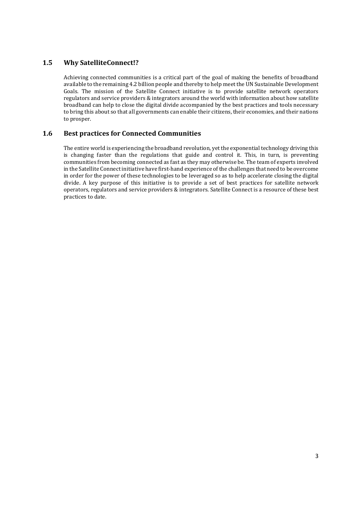#### **1.5 Why SatelliteConnect!?**

Achieving connected communities is a critical part of the goal of making the benefits of broadband available to the remaining 4.2 billion people and thereby to help meet the UN Sustainable Development Goals. The mission of the Satellite Connect initiative is to provide satellite network operators regulators and service providers & integrators around the world with information about how satellite broadband can help to close the digital divide accompanied by the best practices and tools necessary to bring this about so that all governments can enable their citizens, their economies, and their nations to prosper.

#### **1.6 Best practices for Connected Communities**

The entire world is experiencing the broadband revolution, yet the exponential technology driving this is changing faster than the regulations that guide and control it. This, in turn, is preventing communities from becoming connected as fast as they may otherwise be. The team of experts involved in the Satellite Connect initiative have first-hand experience of the challenges that need to be overcome in order for the power of these technologies to be leveraged so as to help accelerate closing the digital divide. A key purpose of this initiative is to provide a set of best practices for satellite network operators, regulators and service providers & integrators. Satellite Connect is a resource of these best practices to date.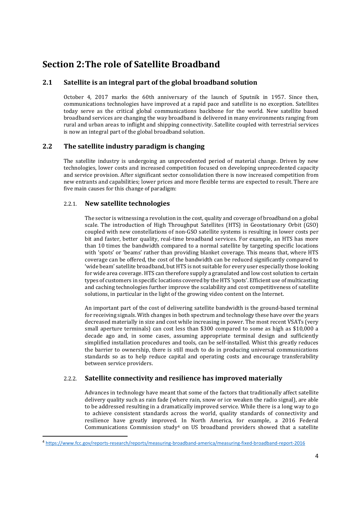### **Section 2: The role of Satellite Broadband**

#### **2.1 Satellite is an integral part of the global broadband solution**

October 4, 2017 marks the 60th anniversary of the launch of Sputnik in 1957. Since then, communications technologies have improved at a rapid pace and satellite is no exception. Satellites today serve as the critical global communications backbone for the world. New satellite based broadband services are changing the way broadband is delivered in many environments ranging from rural and urban areas to inflight and shipping connectivity. Satellite coupled with terrestrial services is now an integral part of the global broadband solution.

#### **2.2 The satellite industry paradigm is changing**

The satellite industry is undergoing an unprecedented period of material change. Driven by new technologies, lower costs and increased competition focused on developing unprecedented capacity and service provision. After significant sector consolidation there is now increased competition from new entrants and capabilities; lower prices and more flexible terms are expected to result. There are five main causes for this change of paradigm:

#### 2.2.1. **New satellite technologies**

The sector is witnessing a revolution in the cost, quality and coverage of broadband on a global scale. The introduction of High Throughput Satellites (HTS) in Geostationary Orbit (GSO) coupled with new constellations of non-GSO satellite systems is resulting in lower costs per bit and faster, better quality, real-time broadband services. For example, an HTS has more than 10 times the bandwidth compared to a normal satellite by targeting specific locations with 'spots' or 'beams' rather than providing blanket coverage. This means that, where HTS coverage can be offered, the cost of the bandwidth can be reduced significantly compared to 'wide beam' satellite broadband, but HTS is not suitable for every user especially those looking for wide area coverage. HTS can therefore supply a granulated and low cost solution to certain types of customers in specific locations covered by the HTS 'spots'. Efficient use of multicasting and caching technologies further improve the scalability and cost competitiveness of satellite solutions, in particular in the light of the growing video content on the Internet.

An important part of the cost of delivering satellite bandwidth is the ground-based terminal for receiving signals. With changes in both spectrum and technology these have over the years decreased materially in size and cost while increasing in power. The most recent VSATs (very small aperture terminals) can cost less than \$300 compared to some as high as \$10,000 a decade ago and, in some cases, assuming appropriate terminal design and sufficiently simplified installation procedures and tools, can be self-installed. Whist this greatly reduces the barrier to ownership, there is still much to do in producing universal communications standards so as to help reduce capital and operating costs and encourage transferability between service providers.

#### 2.2.2. **Satellite connectivity and resilience has improved materially**

Advances in technology have meant that some of the factors that traditionally affect satellite delivery quality such as rain fade (where rain, snow or ice weaken the radio signal), are able to be addressed resulting in a dramatically improved service. While there is a long way to go to achieve consistent standards across the world, quality standards of connectivity and resilience have greatly improved. In North America, for example, a 2016 Federal Communications Commission study4 on US broadband providers showed that a satellite

<sup>4</sup> https://www.fcc.gov/reports-research/reports/measuring-broadband-america/measuring-fixed-broadband-report-2016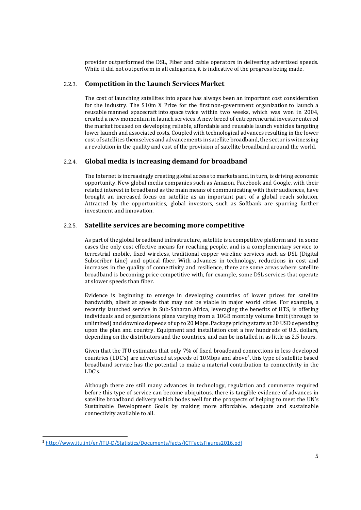provider outperformed the DSL, Fiber and cable operators in delivering advertised speeds. While it did not outperform in all categories, it is indicative of the progress being made.

#### 2.2.3. **Competition in the Launch Services Market**

The cost of launching satellites into space has always been an important cost consideration for the industry. The \$10m X Prize for the first non-government organization to launch a reusable manned spacecraft into space twice within two weeks, which was won in 2004, created a new momentum in launch services. A new breed of entrepreneurial investor entered the market focused on developing reliable, affordable and reusable launch vehicles targeting lower launch and associated costs. Coupled with technological advances resulting in the lower cost of satellites themselves and advancements in satellite broadband, the sector is witnessing a revolution in the quality and cost of the provision of satellite broadband around the world.

#### 2.2.4. **Global media is increasing demand for broadband**

The Internet is increasingly creating global access to markets and, in turn, is driving economic opportunity. New global media companies such as Amazon, Facebook and Google, with their related interest in broadband as the main means of communicating with their audiences, have brought an increased focus on satellite as an important part of a global reach solution. Attracted by the opportunities, global investors, such as Softbank are spurring further investment and innovation.

#### 2.2.5. **Satellite services are becoming more competitive**

As part of the global broadband infrastructure, satellite is a competitive platform and in some cases the only cost effective means for reaching people, and is a complementary service to terrestrial mobile, fixed wireless, traditional copper wireline services such as DSL (Digital Subscriber Line) and optical fiber. With advances in technology, reductions in cost and increases in the quality of connectivity and resilience, there are some areas where satellite broadband is becoming price competitive with, for example, some DSL services that operate at slower speeds than fiber.

Evidence is beginning to emerge in developing countries of lower prices for satellite bandwidth, albeit at speeds that may not be viable in major world cities. For example, a recently launched service in Sub-Saharan Africa, leveraging the benefits of HTS, is offering individuals and organizations plans varying from a 10GB monthly volume limit (through to unlimited) and download speeds of up to 20 Mbps. Package pricing starts at 30 USD depending upon the plan and country. Equipment and installation cost a few hundreds of U.S. dollars, depending on the distributors and the countries, and can be installed in as little as 2.5 hours.

Given that the ITU estimates that only 7% of fixed broadband connections in less developed countries (LDC's) are advertised at speeds of 10Mbps and above5, this type of satellite based broadband service has the potential to make a material contribution to connectivity in the LDC's.

Although there are still many advances in technology, regulation and commerce required before this type of service can become ubiquitous, there is tangible evidence of advances in satellite broadband delivery which bodes well for the prospects of helping to meet the UN's Sustainable Development Goals by making more affordable, adequate and sustainable connectivity available to all.

<sup>5</sup> http://www.itu.int/en/ITU-D/Statistics/Documents/facts/ICTFactsFigures2016.pdf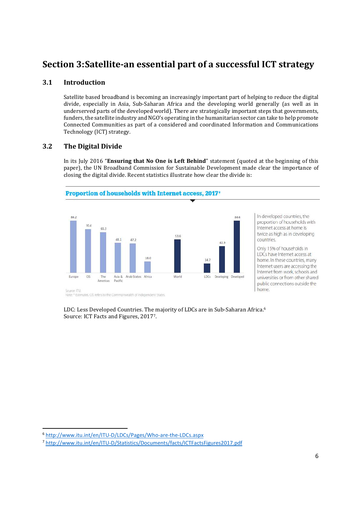### **Section 3: Satellite-an essential part of a successful ICT strategy**

#### **3.1 Introduction**

Satellite based broadband is becoming an increasingly important part of helping to reduce the digital divide, especially in Asia, Sub-Saharan Africa and the developing world generally (as well as in underserved parts of the developed world). There are strategically important steps that governments, funders, the satellite industry and NGO's operating in the humanitarian sector can take to help promote Connected Communities as part of a considered and coordinated Information and Communications Technology (ICT) strategy.

#### **3.2 The Digital Divide**

In its July 2016 "**Ensuring that No One is Left Behind**" statement (quoted at the beginning of this paper), the UN Broadband Commission for Sustainable Development made clear the importance of closing the digital divide. Recent statistics illustrate how clear the divide is:



In developed countries, the proportion of households with Internet access at home is twice as high as in developing countries.

Only 15% of households in LDCs have Internet access at home. In these countries, many Internet users are accessing the Internet from work, schools and universities or from other shared public connections outside the home.

LDC: Less Developed Countries. The majority of LDCs are in Sub-Saharan Africa.<sup>6</sup> Source: ICT Facts and Figures, 20177.

<sup>6</sup> http://www.itu.int/en/ITU-D/LDCs/Pages/Who-are-the-LDCs.aspx

<sup>7</sup> http://www.itu.int/en/ITU-D/Statistics/Documents/facts/ICTFactsFigures2017.pdf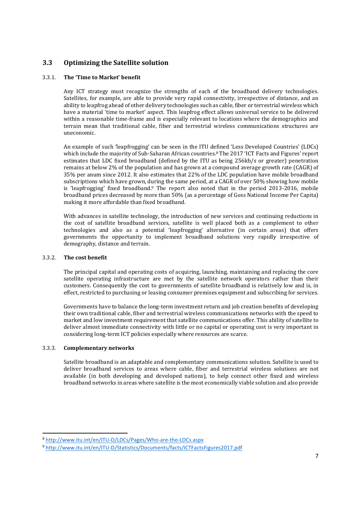#### **3.3 Optimizing the Satellite solution**

#### 3.3.1. **The 'Time to Market' benefit**

Any ICT strategy must recognize the strengths of each of the broadband delivery technologies. Satellites, for example, are able to provide very rapid connectivity, irrespective of distance, and an ability to leapfrog ahead of other delivery technologies such as cable, fiber or terrestrial wireless which have a material 'time to market' aspect. This leapfrog effect allows universal service to be delivered within a reasonable time-frame and is especially relevant to locations where the demographics and terrain mean that traditional cable, fiber and terrestrial wireless communications structures are uneconomic.

An example of such 'leapfrogging' can be seen in the ITU defined 'Less Developed Countries' (LDCs) which include the majority of Sub-Saharan African countries.<sup>8</sup> The 2017 'ICT Facts and Figures' report estimates that LDC fixed broadband (defined by the ITU as being 256kb/s or greater) penetration remains at below 2% of the population and has grown at a compound average growth rate (CAGR) of 35% per anum since 2012. It also estimates that 22% of the LDC population have mobile broadband subscriptions which have grown, during the same period, at a CAGR of over 50% showing how mobile is 'leapfrogging' fixed broadband.<sup>9</sup> The report also noted that in the period 2013-2016, mobile broadband prices decreased by more than 50% (as a percentage of Goss National Income Per Capita) making it more affordable than fixed broadband.

With advances in satellite technology, the introduction of new services and continuing reductions in the cost of satellite broadband services, satellite is well placed both as a complement to other technologies and also as a potential 'leapfrogging' alternative (in certain areas) that offers governments the opportunity to implement broadband solutions very rapidly irrespective of demography, distance and terrain.

#### 3.3.2. **The cost benefit**

The principal capital and operating costs of acquiring, launching, maintaining and replacing the core satellite operating infrastructure are met by the satellite network operators rather than their customers. Consequently the cost to governments of satellite broadband is relatively low and is, in effect, restricted to purchasing or leasing consumer premises equipment and subscribing for services.

Governments have to balance the long-term investment return and job creation benefits of developing their own traditional cable, fiber and terrestrial wireless communications networks with the speed to market and low investment requirement that satellite communications offer. This ability of satellite to deliver almost immediate connectivity with little or no capital or operating cost is very important in considering long-term ICT policies especially where resources are scarce.

#### 3.3.3. **Complementary networks**

Satellite broadband is an adaptable and complementary communications solution. Satellite is used to deliver broadband services to areas where cable, fiber and terrestrial wireless solutions are not available (in both developing and developed nations), to help connect other fixed and wireless broadband networks in areas where satellite is the most economically viable solution and also provide

<sup>8</sup> http://www.itu.int/en/ITU-D/LDCs/Pages/Who-are-the-LDCs.aspx

<sup>9</sup> http://www.itu.int/en/ITU-D/Statistics/Documents/facts/ICTFactsFigures2017.pdf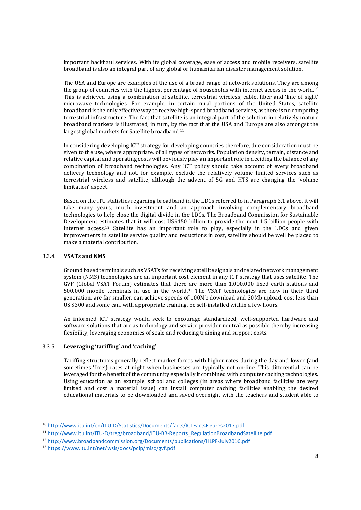important backhaul services. With its global coverage, ease of access and mobile receivers, satellite broadband is also an integral part of any global or humanitarian disaster management solution.

The USA and Europe are examples of the use of a broad range of network solutions. They are among the group of countries with the highest percentage of households with internet access in the world.<sup>10</sup> This is achieved using a combination of satellite, terrestrial wireless, cable, fiber and 'line of sight' microwave technologies. For example, in certain rural portions of the United States, satellite broadband is the only effective way to receive high-speed broadband services, as there is no competing terrestrial infrastructure. The fact that satellite is an integral part of the solution in relatively mature broadband markets is illustrated, in turn, by the fact that the USA and Europe are also amongst the largest global markets for Satellite broadband.<sup>11</sup>

In considering developing ICT strategy for developing countries therefore, due consideration must be given to the use, where appropriate, of all types of networks. Population density, terrain, distance and relative capital and operating costs will obviously play an important role in deciding the balance of any combination of broadband technologies. Any ICT policy should take account of every broadband delivery technology and not, for example, exclude the relatively volume limited services such as terrestrial wireless and satellite, although the advent of 5G and HTS are changing the 'volume limitation' aspect.

Based on the ITU statistics regarding broadband in the LDCs referred to in Paragraph 3.1 above, it will take many years, much investment and an approach involving complementary broadband technologies to help close the digital divide in the LDCs. The Broadband Commission for Sustainable Development estimates that it will cost US\$450 billion to provide the next 1.5 billion people with Internet access.12 Satellite has an important role to play, especially in the LDCs and given improvements in satellite service quality and reductions in cost, satellite should be well be placed to make a material contribution.

#### 3.3.4. **VSATs and NMS**

Ground based terminals such as VSATs for receiving satellite signals and related network management system (NMS) technologies are an important cost element in any ICT strategy that uses satellite. The GVF (Global VSAT Forum) estimates that there are more than 1,000,000 fixed earth stations and 500,000 mobile terminals in use in the world.13 The VSAT technologies are now in their third generation, are far smaller, can achieve speeds of 100Mb download and 20Mb upload, cost less than US \$300 and some can, with appropriate training, be self-installed within a few hours.

An informed ICT strategy would seek to encourage standardized, well-supported hardware and software solutions that are as technology and service provider neutral as possible thereby increasing flexibility, leveraging economies of scale and reducing training and support costs.

#### 3.3.5. **Leveraging 'tariffing' and 'caching'**

Tariffing structures generally reflect market forces with higher rates during the day and lower (and sometimes 'free') rates at night when businesses are typically not on-line. This differential can be leveraged for the benefit of the community especially if combined with computer caching technologies. Using education as an example, school and colleges (in areas where broadband facilities are very limited and cost a material issue) can install computer caching facilities enabling the desired educational materials to be downloaded and saved overnight with the teachers and student able to

<sup>10</sup> http://www.itu.int/en/ITU-D/Statistics/Documents/facts/ICTFactsFigures2017.pdf

<sup>11</sup> http://www.itu.int/ITU-D/treg/broadband/ITU-BB-Reports\_RegulationBroadbandSatellite.pdf

<sup>12</sup> http://www.broadbandcommission.org/Documents/publications/HLPF-July2016.pdf

<sup>13</sup> https://www.itu.int/net/wsis/docs/pcip/misc/gvf.pdf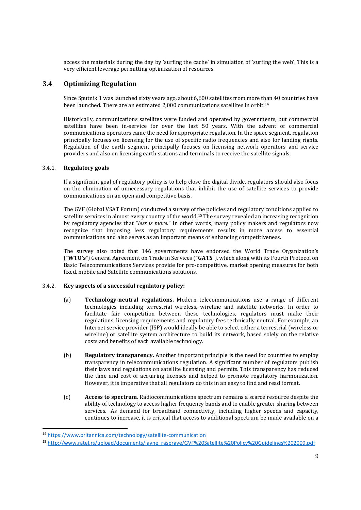access the materials during the day by 'surfing the cache' in simulation of 'surfing the web'. This is a very efficient leverage permitting optimization of resources.

#### **3.4 Optimizing Regulation**

Since Sputnik 1 was launched sixty years ago, about 6,600 satellites from more than 40 countries have been launched. There are an estimated 2,000 communications satellites in orbit.<sup>14</sup>

Historically, communications satellites were funded and operated by governments, but commercial satellites have been in-service for over the last 50 years. With the advent of commercial communications operators came the need for appropriate regulation. In the space segment, regulation principally focuses on licensing for the use of specific radio frequencies and also for landing rights. Regulation of the earth segment principally focuses on licensing network operators and service providers and also on licensing earth stations and terminals to receive the satellite signals.

#### 3.4.1. **Regulatory goals**

If a significant goal of regulatory policy is to help close the digital divide, regulators should also focus on the elimination of unnecessary regulations that inhibit the use of satellite services to provide communications on an open and competitive basis.

The GVF (Global VSAT Forum) conducted a survey of the policies and regulatory conditions applied to satellite services in almost every country of the world.15 The survey revealed an increasing recognition by regulatory agencies that "*less is more*." In other words, many policy makers and regulators now recognize that imposing less regulatory requirements results in more access to essential communications and also serves as an important means of enhancing competitiveness.

The survey also noted that 146 governments have endorsed the World Trade Organization's ("**WTO's**") General Agreement on Trade in Services ("**GATS**"), which along with its Fourth Protocol on Basic Telecommunications Services provide for pro-competitive, market opening measures for both fixed, mobile and Satellite communications solutions.

#### 3.4.2. **Key aspects of a successful regulatory policy:**

- (a) **Technology-neutral regulations.** Modern telecommunications use a range of different technologies including terrestrial wireless, wireline and satellite networks. In order to facilitate fair competition between these technologies, regulators must make their regulations, licensing requirements and regulatory fees technically neutral. For example, an Internet service provider (ISP) would ideally be able to select either a terrestrial (wireless or wireline) or satellite system architecture to build its network, based solely on the relative costs and benefits of each available technology.
- (b) **Regulatory transparency.** Another important principle is the need for countries to employ transparency in telecommunications regulation. A significant number of regulators publish their laws and regulations on satellite licensing and permits. This transparency has reduced the time and cost of acquiring licenses and helped to promote regulatory harmonization. However, it is imperative that all regulators do this in an easy to find and read format.
- (c) **Access to spectrum.** Radiocommunications spectrum remains a scarce resource despite the ability of technology to access higher frequency bands and to enable greater sharing between services. As demand for broadband connectivity, including higher speeds and capacity, continues to increase, it is critical that access to additional spectrum be made available on a

<sup>14</sup> https://www.britannica.com/technology/satellite-communication

<sup>15</sup> http://www.ratel.rs/upload/documents/javne\_rasprave/GVF%20Satellite%20Policy%20Guidelines%202009.pdf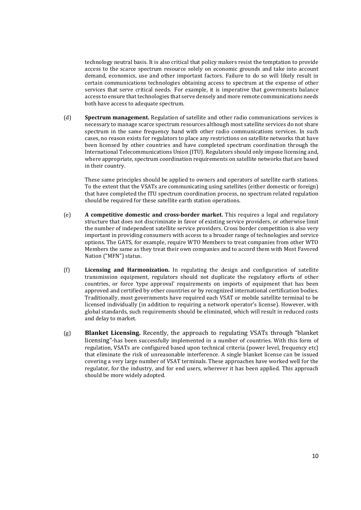technology neutral basis. It is also critical that policy makers resist the temptation to provide access to the scarce spectrum resource solely on economic grounds and take into account demand, economics, use and other important factors. Failure to do so will likely result in certain communications technologies obtaining access to spectrum at the expense of other services that serve critical needs. For example, it is imperative that governments balance access to ensure that technologies that serve densely and more remote communications needs both have access to adequate spectrum.

(d) **Spectrum management.** Regulation of satellite and other radio communications services is necessary to manage scarce spectrum resources although most satellite services do not share spectrum in the same frequency band with other radio communications services. In such cases, no reason exists for regulators to place any restrictions on satellite networks that have been licensed by other countries and have completed spectrum coordination through the International Telecommunications Union (ITU). Regulators should only impose licensing and, where appropriate, spectrum coordination requirements on satellite networks that are based in their country.

These same principles should be applied to owners and operators of satellite earth stations. To the extent that the VSATs are communicating using satellites (either domestic or foreign) that have completed the ITU spectrum coordination process, no spectrum related regulation should be required for these satellite earth station operations.

- (e) **A competitive domestic and cross-border market.** This requires a legal and regulatory structure that does not discriminate in favor of existing service providers, or otherwise limit the number of independent satellite service providers. Cross border competition is also very important in providing consumers with access to a broader range of technologies and service options. The GATS, for example, require WTO Members to treat companies from other WTO Members the same as they treat their own companies and to accord them with Most Favored Nation ("MFN") status.
- (f) **Licensing and Harmonization.** In regulating the design and configuration of satellite transmission equipment, regulators should not duplicate the regulatory efforts of other countries, or force 'type approval' requirements on imports of equipment that has been approved and certified by other countries or by recognized international certification bodies. Traditionally, most governments have required each VSAT or mobile satellite terminal to be licensed individually (in addition to requiring a network operator's license). However, with global standards, such requirements should be eliminated, which will result in reduced costs and delay to market.
- (g) **Blanket Licensing.** Recently, the approach to regulating VSATs through "blanket licensing"-has been successfully implemented in a number of countries. With this form of regulation, VSATs are configured based upon technical criteria (power level, frequency etc) that eliminate the risk of unreasonable interference. A single blanket license can be issued covering a very large number of VSAT terminals. These approaches have worked well for the regulator, for the industry, and for end users, wherever it has been applied. This approach should be more widely adopted.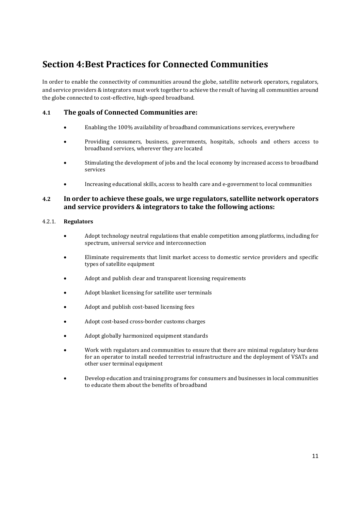## **Section 4: Best Practices for Connected Communities**

In order to enable the connectivity of communities around the globe, satellite network operators, regulators, and service providers & integrators must work together to achieve the result of having all communities around the globe connected to cost-effective, high-speed broadband.

#### **4.1 The goals of Connected Communities are:**

- Enabling the 100% availability of broadband communications services, everywhere
- Providing consumers, business, governments, hospitals, schools and others access to broadband services, wherever they are located
- Stimulating the development of jobs and the local economy by increased access to broadband services
- Increasing educational skills, access to health care and e-government to local communities

#### **4.2 In order to achieve these goals, we urge regulators, satellite network operators and service providers & integrators to take the following actions:**

#### 4.2.1. **Regulators**

- Adopt technology neutral regulations that enable competition among platforms, including for spectrum, universal service and interconnection
- Eliminate requirements that limit market access to domestic service providers and specific types of satellite equipment
- Adopt and publish clear and transparent licensing requirements
- Adopt blanket licensing for satellite user terminals
- Adopt and publish cost-based licensing fees
- Adopt cost-based cross-border customs charges
- Adopt globally harmonized equipment standards
- Work with regulators and communities to ensure that there are minimal regulatory burdens for an operator to install needed terrestrial infrastructure and the deployment of VSATs and other user terminal equipment
- Develop education and training programs for consumers and businesses in local communities to educate them about the benefits of broadband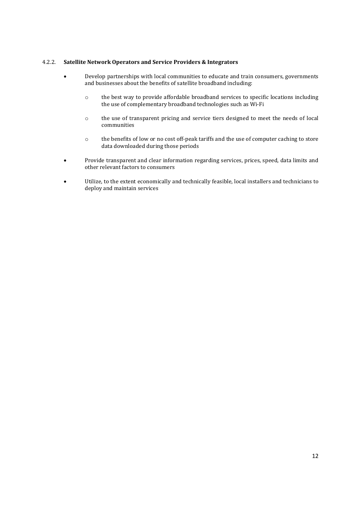#### 4.2.2. **Satellite Network Operators and Service Providers & Integrators**

- Develop partnerships with local communities to educate and train consumers, governments and businesses about the benefits of satellite broadband including:
	- o the best way to provide affordable broadband services to specific locations including the use of complementary broadband technologies such as Wi-Fi
	- o the use of transparent pricing and service tiers designed to meet the needs of local communities
	- o the benefits of low or no cost off-peak tariffs and the use of computer caching to store data downloaded during those periods
- Provide transparent and clear information regarding services, prices, speed, data limits and other relevant factors to consumers
- Utilize, to the extent economically and technically feasible, local installers and technicians to deploy and maintain services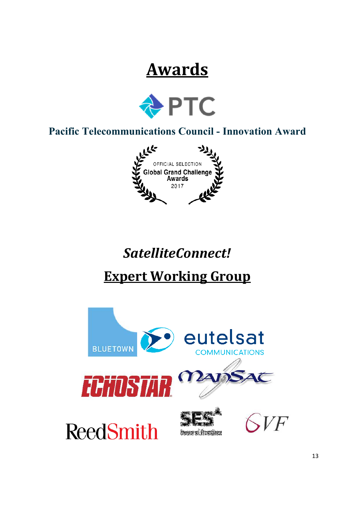# **Awards**



**Pacific Telecommunications Council - Innovation Award**



# *SatelliteConnect!*

# **Expert Working Group**